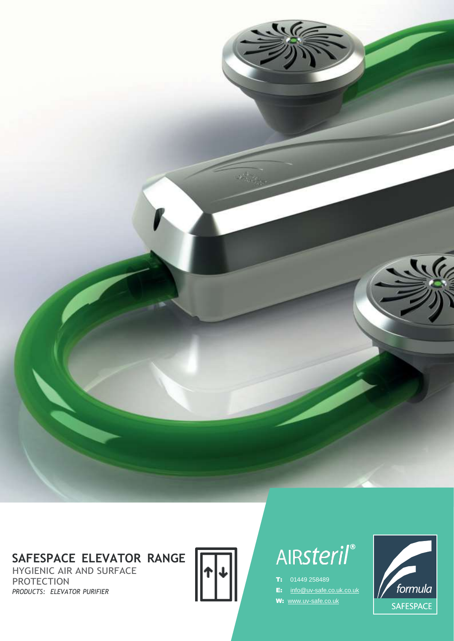# **SAFESPACE ELEVATOR RANGE**

HYGIENIC AIR AND SURFACE PROTECTION *PRODUCTS: ELEVATOR PURIFIER*



# AIRsteril®

- T: 01449 258489
- E: [info@uv-safe.co.uk.co.uk](mailto:info@uv-safe.co.uk.co.uk)
- W: [www.uv-safe.co.uk](http://www.uv-safe.co.uk/)

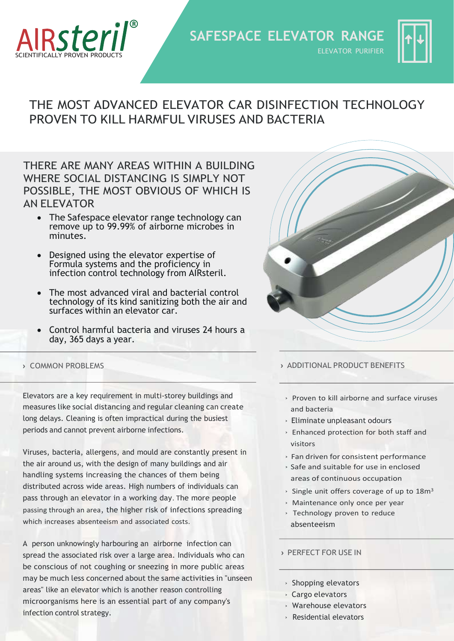

**SAFESPACE ELEVATOR RANGE** ELEVATOR PURIFIER



# THE MOST ADVANCED ELEVATOR CAR DISINFECTION TECHNOLOGY PROVEN TO KILL HARMFUL VIRUSES AND BACTERIA

THERE ARE MANY AREAS WITHIN A BUILDING WHERE SOCIAL DISTANCING IS SIMPLY NOT POSSIBLE, THE MOST OBVIOUS OF WHICH IS AN ELEVATOR

- The Safespace elevator range technology can remove up to 99.99% of airborne microbes in minutes.
- Designed using the elevator expertise of Formula systems and the proficiency in infection control technology from AIRsteril.
- The most advanced viral and bacterial control technology of its kind sanitizing both the air and surfaces within an elevator car.
- Control harmful bacteria and viruses 24 hours a day, 365 days a year.

Elevators are a key requirement in multi-storey buildings and measures like social distancing and regular cleaning can create long delays. Cleaning is often impractical during the busiest periods and cannot prevent airborne infections.

Viruses, bacteria, allergens, and mould are constantly present in the air around us, with the design of many buildings and air handling systems increasing the chances of them being distributed across wide areas. High numbers of individuals can pass through an elevator in a working day. The more people passing through an area, the higher risk of infections spreading which increases absenteeism and associated costs.

A person unknowingly harbouring an airborne infection can spread the associated risk over a large area. Individuals who can be conscious of not coughing or sneezing in more public areas may be much less concerned about the same activities in "unseen areas" like an elevator which is another reason controlling microorganisms here is an essential part of any company's infection control strategy.



## **›** COMMON PROBLEMS **›** ADDITIONAL PRODUCT BENEFITS

- › Proven to kill airborne and surface viruses and bacteria
- › Eliminate unpleasant odours
- › Enhanced protection for both staff and visitors
- › Fan driven for consistent performance
- › Safe and suitable for use in enclosed areas of continuous occupation
- $\cdot$  Single unit offers coverage of up to 18 $m<sup>3</sup>$
- › Maintenance only once per year
- › Technology proven to reduce absenteeism

## **›** PERFECT FOR USE IN

- › Shopping elevators
- › Cargo elevators
- › Warehouse elevators
- › Residential elevators